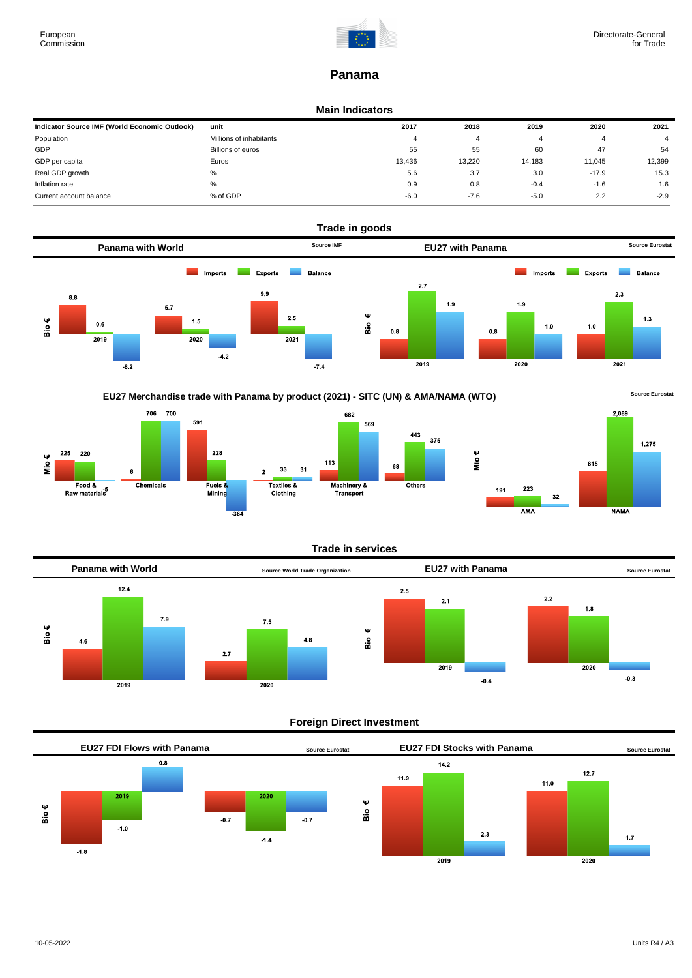

# **Panama**

## **Main Indicators**

| Indicator Source IMF (World Economic Outlook) | unit                    | 2017   | 2018   | 2019   | 2020    | 2021   |
|-----------------------------------------------|-------------------------|--------|--------|--------|---------|--------|
| Population                                    | Millions of inhabitants | 4      | 4      |        |         |        |
| GDP                                           | Billions of euros       | 55     | 55     | 60     | 47      | 54     |
| GDP per capita                                | Euros                   | 13.436 | 13.220 | 14.183 | 11,045  | 12.399 |
| Real GDP growth                               | %                       | 5.6    | 3.7    | 3.0    | $-17.9$ | 15.3   |
| Inflation rate                                | %                       | 0.9    | 0.8    | $-0.4$ | $-1.6$  | 1.6    |
| Current account balance                       | % of GDP                | $-6.0$ | $-7.6$ | $-5.0$ | 2.2     | $-2.9$ |









## **Trade in services**



## **Foreign Direct Investment**